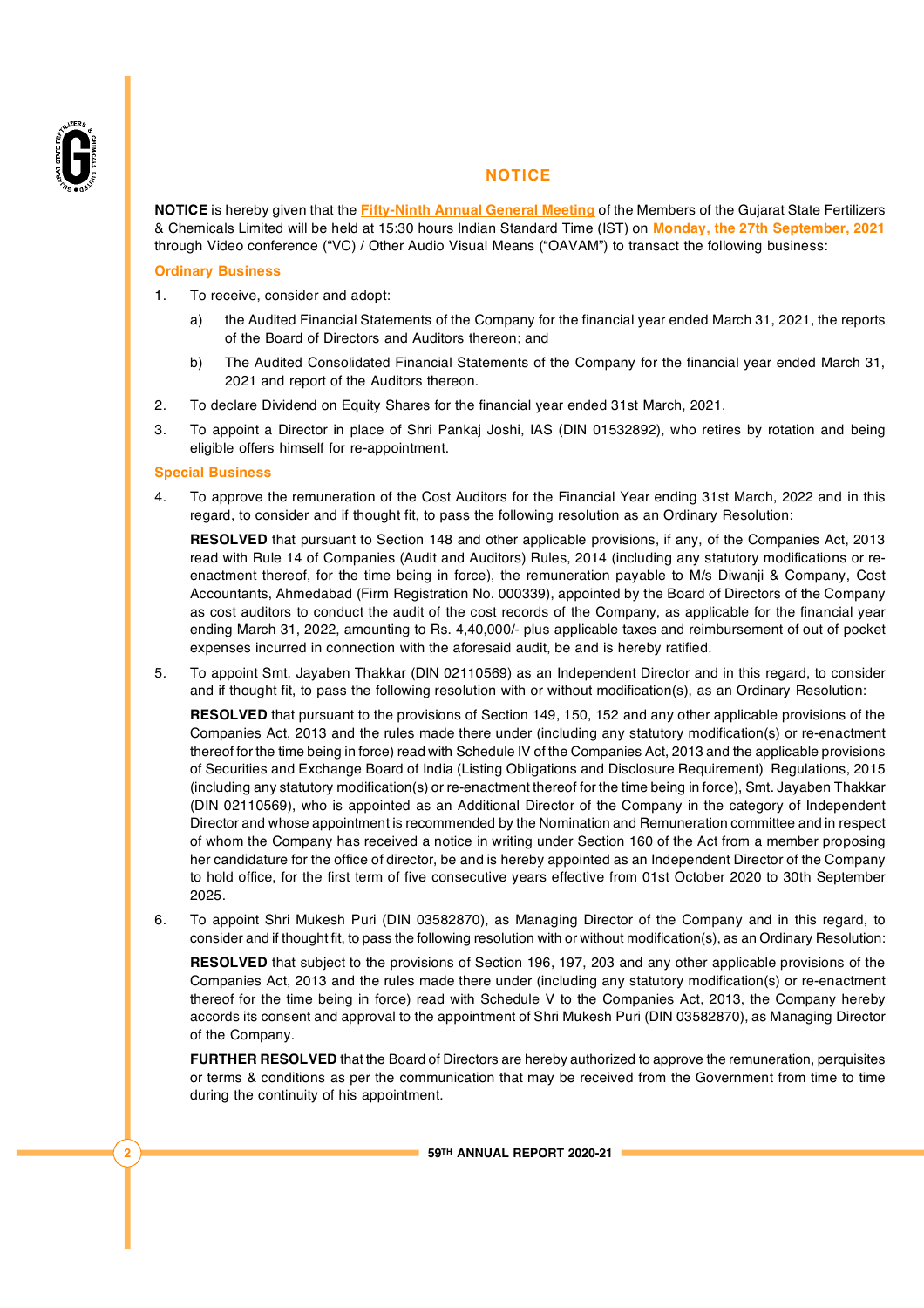

### **NOTICE**

**NOTICE** is hereby given that the **Fifty-Ninth Annual General Meeting** of the Members of the Gujarat State Fertilizers & Chemicals Limited will be held at 15:30 hours Indian Standard Time (IST) on **Monday, the 27th September, 2021** through Video conference ("VC) / Other Audio Visual Means ("OAVAM") to transact the following business:

### **Ordinary Business**

- 1. To receive, consider and adopt:
	- a) the Audited Financial Statements of the Company for the financial year ended March 31, 2021, the reports of the Board of Directors and Auditors thereon; and
	- b) The Audited Consolidated Financial Statements of the Company for the financial year ended March 31, 2021 and report of the Auditors thereon.
- 2. To declare Dividend on Equity Shares for the financial year ended 31st March, 2021.
- 3. To appoint a Director in place of Shri Pankaj Joshi, IAS (DIN 01532892), who retires by rotation and being eligible offers himself for re-appointment.

#### **Special Business**

4. To approve the remuneration of the Cost Auditors for the Financial Year ending 31st March, 2022 and in this regard, to consider and if thought fit, to pass the following resolution as an Ordinary Resolution:

**RESOLVED** that pursuant to Section 148 and other applicable provisions, if any, of the Companies Act, 2013 read with Rule 14 of Companies (Audit and Auditors) Rules, 2014 (including any statutory modifications or reenactment thereof, for the time being in force), the remuneration payable to M/s Diwanji & Company, Cost Accountants, Ahmedabad (Firm Registration No. 000339), appointed by the Board of Directors of the Company as cost auditors to conduct the audit of the cost records of the Company, as applicable for the financial year ending March 31, 2022, amounting to Rs. 4,40,000/- plus applicable taxes and reimbursement of out of pocket expenses incurred in connection with the aforesaid audit, be and is hereby ratified.

5. To appoint Smt. Jayaben Thakkar (DIN 02110569) as an Independent Director and in this regard, to consider and if thought fit, to pass the following resolution with or without modification(s), as an Ordinary Resolution:

**RESOLVED** that pursuant to the provisions of Section 149, 150, 152 and any other applicable provisions of the Companies Act, 2013 and the rules made there under (including any statutory modification(s) or re-enactment thereof for the time being in force) read with Schedule IV of the Companies Act, 2013 and the applicable provisions of Securities and Exchange Board of India (Listing Obligations and Disclosure Requirement) Regulations, 2015 (including any statutory modification(s) or re-enactment thereof for the time being in force), Smt. Jayaben Thakkar (DIN 02110569), who is appointed as an Additional Director of the Company in the category of Independent Director and whose appointment is recommended by the Nomination and Remuneration committee and in respect of whom the Company has received a notice in writing under Section 160 of the Act from a member proposing her candidature for the office of director, be and is hereby appointed as an Independent Director of the Company to hold office, for the first term of five consecutive years effective from 01st October 2020 to 30th September 2025.

6. To appoint Shri Mukesh Puri (DIN 03582870), as Managing Director of the Company and in this regard, to consider and if thought fit, to pass the following resolution with or without modification(s), as an Ordinary Resolution:

**RESOLVED** that subject to the provisions of Section 196, 197, 203 and any other applicable provisions of the Companies Act, 2013 and the rules made there under (including any statutory modification(s) or re-enactment thereof for the time being in force) read with Schedule V to the Companies Act, 2013, the Company hereby accords its consent and approval to the appointment of Shri Mukesh Puri (DIN 03582870), as Managing Director of the Company.

**FURTHER RESOLVED** that the Board of Directors are hereby authorized to approve the remuneration, perquisites or terms & conditions as per the communication that may be received from the Government from time to time during the continuity of his appointment.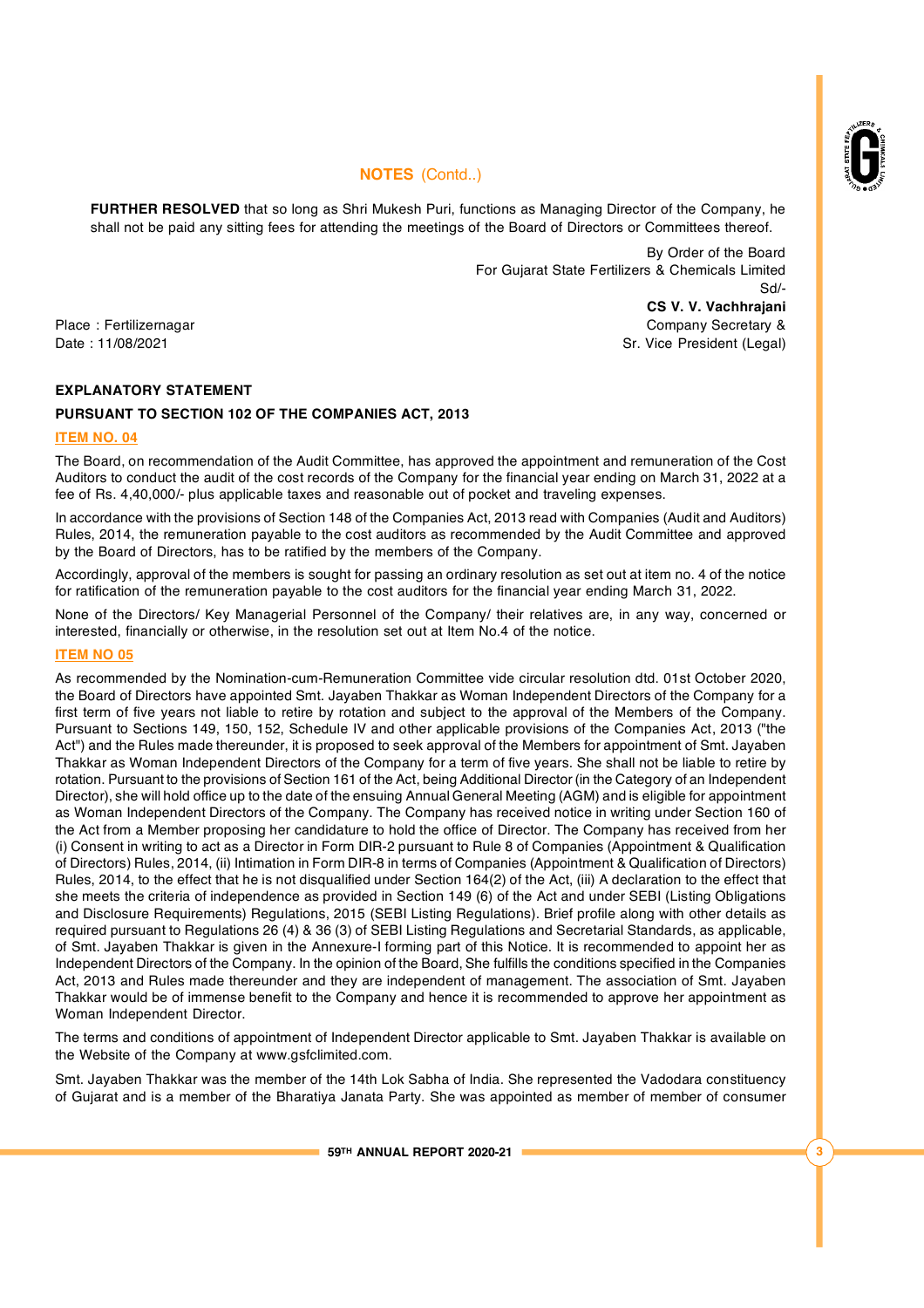

**FURTHER RESOLVED** that so long as Shri Mukesh Puri, functions as Managing Director of the Company, he shall not be paid any sitting fees for attending the meetings of the Board of Directors or Committees thereof.

> By Order of the Board For Gujarat State Fertilizers & Chemicals Limited Sd/- **CS V. V. Vachhrajani**

Place : Fertilizernagar Company Secretary & Company Secretary & Company Secretary & Date : 11/08/2021 Sr. Vice President (Legal)

# **EXPLANATORY STATEMENT**

### **PURSUANT TO SECTION 102 OF THE COMPANIES ACT, 2013**

### **ITEM NO. 04**

The Board, on recommendation of the Audit Committee, has approved the appointment and remuneration of the Cost Auditors to conduct the audit of the cost records of the Company for the financial year ending on March 31, 2022 at a fee of Rs. 4,40,000/- plus applicable taxes and reasonable out of pocket and traveling expenses.

In accordance with the provisions of Section 148 of the Companies Act, 2013 read with Companies (Audit and Auditors) Rules, 2014, the remuneration payable to the cost auditors as recommended by the Audit Committee and approved by the Board of Directors, has to be ratified by the members of the Company.

Accordingly, approval of the members is sought for passing an ordinary resolution as set out at item no. 4 of the notice for ratification of the remuneration payable to the cost auditors for the financial year ending March 31, 2022.

None of the Directors/ Key Managerial Personnel of the Company/ their relatives are, in any way, concerned or interested, financially or otherwise, in the resolution set out at Item No.4 of the notice.

#### **ITEM NO 05**

As recommended by the Nomination-cum-Remuneration Committee vide circular resolution dtd. 01st October 2020, the Board of Directors have appointed Smt. Jayaben Thakkar as Woman Independent Directors of the Company for a first term of five years not liable to retire by rotation and subject to the approval of the Members of the Company. Pursuant to Sections 149, 150, 152, Schedule IV and other applicable provisions of the Companies Act, 2013 ("the Act") and the Rules made thereunder, it is proposed to seek approval of the Members for appointment of Smt. Jayaben Thakkar as Woman Independent Directors of the Company for a term of five years. She shall not be liable to retire by rotation. Pursuant to the provisions of Section 161 of the Act, being Additional Director (in the Category of an Independent Director), she will hold office up to the date of the ensuing Annual General Meeting (AGM) and is eligible for appointment as Woman Independent Directors of the Company. The Company has received notice in writing under Section 160 of the Act from a Member proposing her candidature to hold the office of Director. The Company has received from her (i) Consent in writing to act as a Director in Form DIR-2 pursuant to Rule 8 of Companies (Appointment & Qualification of Directors) Rules, 2014, (ii) Intimation in Form DIR-8 in terms of Companies (Appointment & Qualification of Directors) Rules, 2014, to the effect that he is not disqualified under Section 164(2) of the Act, (iii) A declaration to the effect that she meets the criteria of independence as provided in Section 149 (6) of the Act and under SEBI (Listing Obligations and Disclosure Requirements) Regulations, 2015 (SEBI Listing Regulations). Brief profile along with other details as required pursuant to Regulations 26 (4) & 36 (3) of SEBI Listing Regulations and Secretarial Standards, as applicable, of Smt. Jayaben Thakkar is given in the Annexure-I forming part of this Notice. It is recommended to appoint her as Independent Directors of the Company. In the opinion of the Board, She fulfills the conditions specified in the Companies Act, 2013 and Rules made thereunder and they are independent of management. The association of Smt. Jayaben Thakkar would be of immense benefit to the Company and hence it is recommended to approve her appointment as Woman Independent Director.

The terms and conditions of appointment of Independent Director applicable to Smt. Jayaben Thakkar is available on the Website of the Company at [www.gsfclimited.com.](http://www.gsfclimited.com.)

Smt. Jayaben Thakkar was the member of the 14th Lok Sabha of India. She represented the Vadodara constituency of Gujarat and is a member of the Bharatiya Janata Party. She was appointed as member of member of consumer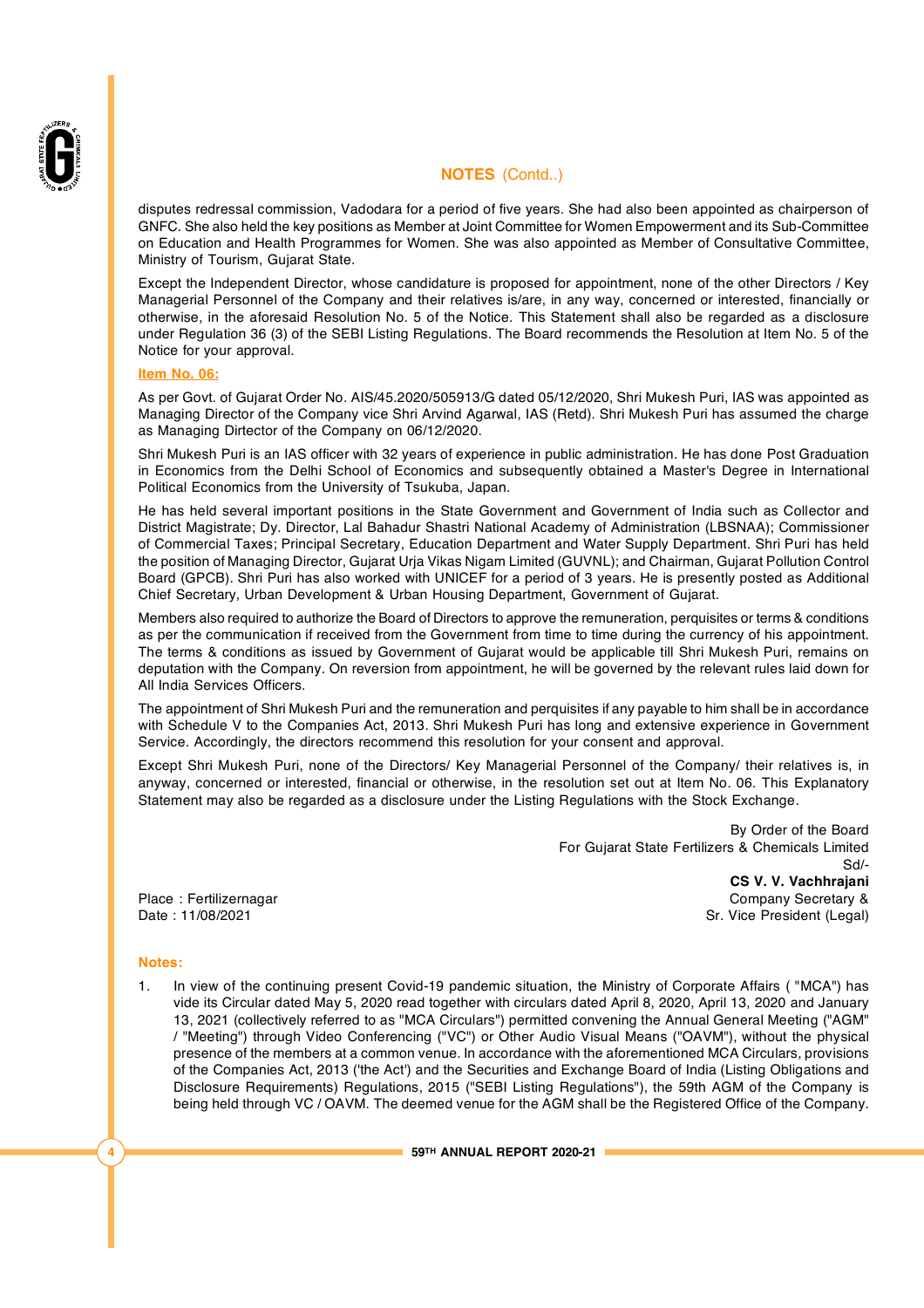

disputes redressal commission, Vadodara for a period of five years. She had also been appointed as chairperson of GNFC. She also held the key positions as Member at Joint Committee for Women Empowerment and its Sub-Committee on Education and Health Programmes for Women. She was also appointed as Member of Consultative Committee, Ministry of Tourism, Gujarat State.

Except the Independent Director, whose candidature is proposed for appointment, none of the other Directors / Key Managerial Personnel of the Company and their relatives is/are, in any way, concerned or interested, financially or otherwise, in the aforesaid Resolution No. 5 of the Notice. This Statement shall also be regarded as a disclosure under Regulation 36 (3) of the SEBI Listing Regulations. The Board recommends the Resolution at Item No. 5 of the Notice for your approval.

#### **Item No. 06:**

As per Govt. of Gujarat Order No. AIS/45.2020/505913/G dated 05/12/2020, Shri Mukesh Puri, IAS was appointed as Managing Director of the Company vice Shri Arvind Agarwal, IAS (Retd). Shri Mukesh Puri has assumed the charge as Managing Dirtector of the Company on 06/12/2020.

Shri Mukesh Puri is an IAS officer with 32 years of experience in public administration. He has done Post Graduation in Economics from the Delhi School of Economics and subsequently obtained a Master's Degree in International Political Economics from the University of Tsukuba, Japan.

He has held several important positions in the State Government and Government of India such as Collector and District Magistrate; Dy. Director, Lal Bahadur Shastri National Academy of Administration (LBSNAA); Commissioner of Commercial Taxes; Principal Secretary, Education Department and Water Supply Department. Shri Puri has held the position of Managing Director, Gujarat Urja Vikas Nigam Limited (GUVNL); and Chairman, Gujarat Pollution Control Board (GPCB). Shri Puri has also worked with UNICEF for a period of 3 years. He is presently posted as Additional Chief Secretary, Urban Development & Urban Housing Department, Government of Gujarat.

Members also required to authorize the Board of Directors to approve the remuneration, perquisites or terms & conditions as per the communication if received from the Government from time to time during the currency of his appointment. The terms & conditions as issued by Government of Gujarat would be applicable till Shri Mukesh Puri, remains on deputation with the Company. On reversion from appointment, he will be governed by the relevant rules laid down for All India Services Officers.

The appointment of Shri Mukesh Puri and the remuneration and perquisites if any payable to him shall be in accordance with Schedule V to the Companies Act, 2013. Shri Mukesh Puri has long and extensive experience in Government Service. Accordingly, the directors recommend this resolution for your consent and approval.

Except Shri Mukesh Puri, none of the Directors/ Key Managerial Personnel of the Company/ their relatives is, in anyway, concerned or interested, financial or otherwise, in the resolution set out at Item No. 06. This Explanatory Statement may also be regarded as a disclosure under the Listing Regulations with the Stock Exchange.

By Order of the Board For Gujarat State Fertilizers & Chemicals Limited Sd/- **CS V. V. Vachhrajani** Place : Fertilizernagar Company Secretary & Company Secretary & Company Secretary &

Date : 11/08/2021 Case of the State of the State of State President (Legal) Sr. Vice President (Legal)

#### **Notes:**

1. In view of the continuing present Covid-19 pandemic situation, the Ministry of Corporate Affairs ( "MCA") has vide its Circular dated May 5, 2020 read together with circulars dated April 8, 2020, April 13, 2020 and January 13, 2021 (collectively referred to as "MCA Circulars") permitted convening the Annual General Meeting ("AGM" / "Meeting") through Video Conferencing ("VC") or Other Audio Visual Means ("OAVM"), without the physical presence of the members at a common venue. In accordance with the aforementioned MCA Circulars, provisions of the Companies Act, 2013 ('the Act') and the Securities and Exchange Board of India (Listing Obligations and Disclosure Requirements) Regulations, 2015 ("SEBI Listing Regulations"), the 59th AGM of the Company is being held through VC / OAVM. The deemed venue for the AGM shall be the Registered Office of the Company.

**4 59TH ANNUAL REPORT 2020-21**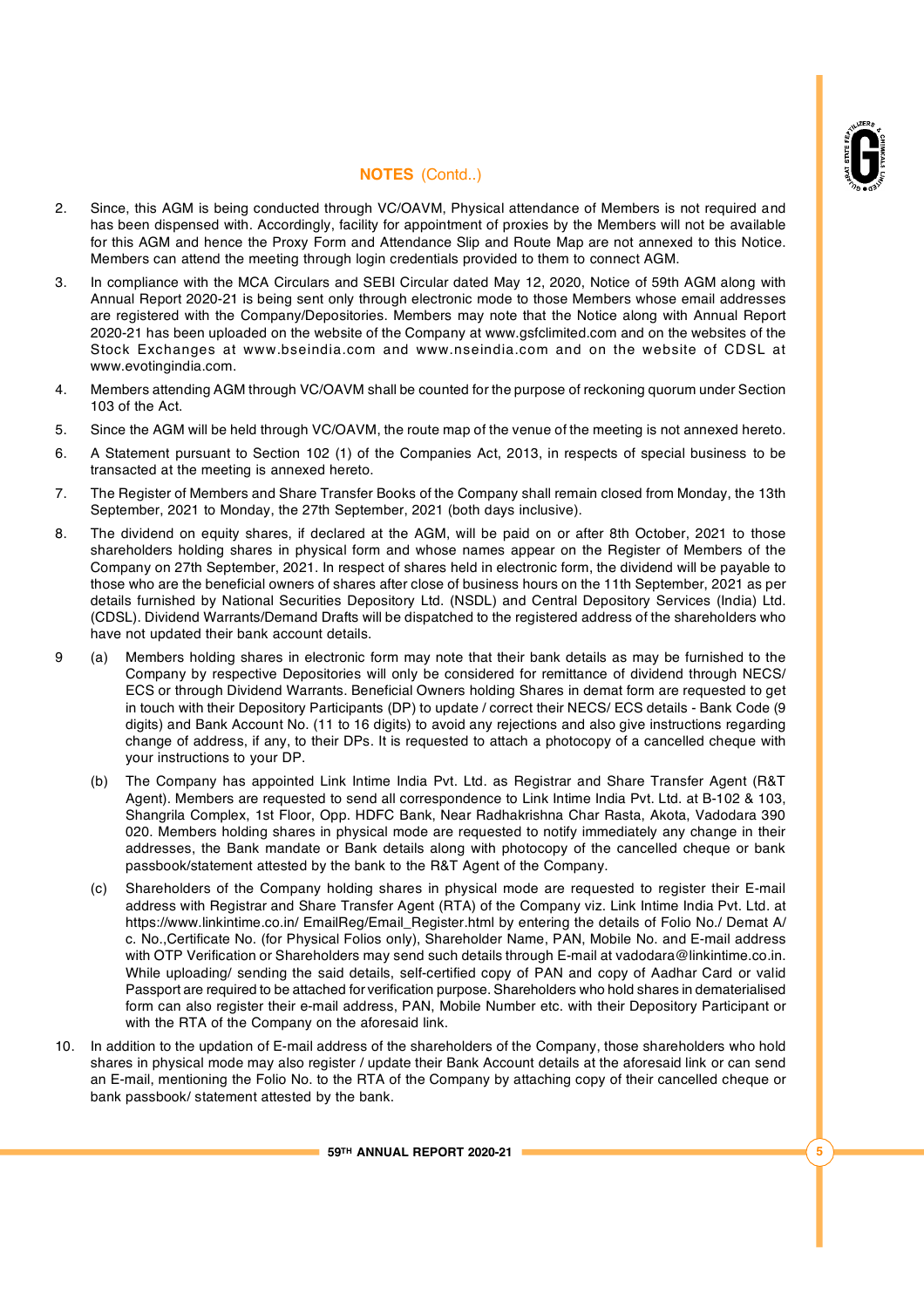

- 2. Since, this AGM is being conducted through VC/OAVM, Physical attendance of Members is not required and has been dispensed with. Accordingly, facility for appointment of proxies by the Members will not be available for this AGM and hence the Proxy Form and Attendance Slip and Route Map are not annexed to this Notice. Members can attend the meeting through login credentials provided to them to connect AGM.
- 3. In compliance with the MCA Circulars and SEBI Circular dated May 12, 2020, Notice of 59th AGM along with Annual Report 2020-21 is being sent only through electronic mode to those Members whose email addresses are registered with the Company/Depositories. Members may note that the Notice along with Annual Report 2020-21 has been uploaded on the website of the Company at [www.gsfclimited.com](http://www.gsfclimited.com) and on the websites of the Stock Exchanges at www.bseindia.com and www.nseindia.com and on the website of CDSL at [www.evotingindia.com.](http://www.evotingindia.com.)
- 4. Members attending AGM through VC/OAVM shall be counted for the purpose of reckoning quorum under Section 103 of the Act.
- 5. Since the AGM will be held through VC/OAVM, the route map of the venue of the meeting is not annexed hereto.
- 6. A Statement pursuant to Section 102 (1) of the Companies Act, 2013, in respects of special business to be transacted at the meeting is annexed hereto.
- 7. The Register of Members and Share Transfer Books of the Company shall remain closed from Monday, the 13th September, 2021 to Monday, the 27th September, 2021 (both days inclusive).
- 8. The dividend on equity shares, if declared at the AGM, will be paid on or after 8th October, 2021 to those shareholders holding shares in physical form and whose names appear on the Register of Members of the Company on 27th September, 2021. In respect of shares held in electronic form, the dividend will be payable to those who are the beneficial owners of shares after close of business hours on the 11th September, 2021 as per details furnished by National Securities Depository Ltd. (NSDL) and Central Depository Services (India) Ltd. (CDSL). Dividend Warrants/Demand Drafts will be dispatched to the registered address of the shareholders who have not updated their bank account details.
- 9 (a) Members holding shares in electronic form may note that their bank details as may be furnished to the Company by respective Depositories will only be considered for remittance of dividend through NECS/ ECS or through Dividend Warrants. Beneficial Owners holding Shares in demat form are requested to get in touch with their Depository Participants (DP) to update / correct their NECS/ ECS details - Bank Code (9 digits) and Bank Account No. (11 to 16 digits) to avoid any rejections and also give instructions regarding change of address, if any, to their DPs. It is requested to attach a photocopy of a cancelled cheque with your instructions to your DP.
	- (b) The Company has appointed Link Intime India Pvt. Ltd. as Registrar and Share Transfer Agent (R&T Agent). Members are requested to send all correspondence to Link Intime India Pvt. Ltd. at B-102 & 103, Shangrila Complex, 1st Floor, Opp. HDFC Bank, Near Radhakrishna Char Rasta, Akota, Vadodara 390 020. Members holding shares in physical mode are requested to notify immediately any change in their addresses, the Bank mandate or Bank details along with photocopy of the cancelled cheque or bank passbook/statement attested by the bank to the R&T Agent of the Company.
	- (c) Shareholders of the Company holding shares in physical mode are requested to register their E-mail address with Registrar and Share Transfer Agent (RTA) of the Company viz. Link Intime India Pvt. Ltd. at <https://www.linkintime.co.in/> EmailReg/Email\_Register.html by entering the details of Folio No./ Demat A/ c. No.,Certificate No. (for Physical Folios only), Shareholder Name, PAN, Mobile No. and E-mail address with OTP Verification or Shareholders may send such details through E-mail at [vadodara@linkintime.co.in.](mailto:vadodara@linkintime.co.in.) While uploading/ sending the said details, self-certified copy of PAN and copy of Aadhar Card or valid Passport are required to be attached for verification purpose. Shareholders who hold shares in dematerialised form can also register their e-mail address, PAN, Mobile Number etc. with their Depository Participant or with the RTA of the Company on the aforesaid link.
- 10. In addition to the updation of E-mail address of the shareholders of the Company, those shareholders who hold shares in physical mode may also register / update their Bank Account details at the aforesaid link or can send an E-mail, mentioning the Folio No. to the RTA of the Company by attaching copy of their cancelled cheque or bank passbook/ statement attested by the bank.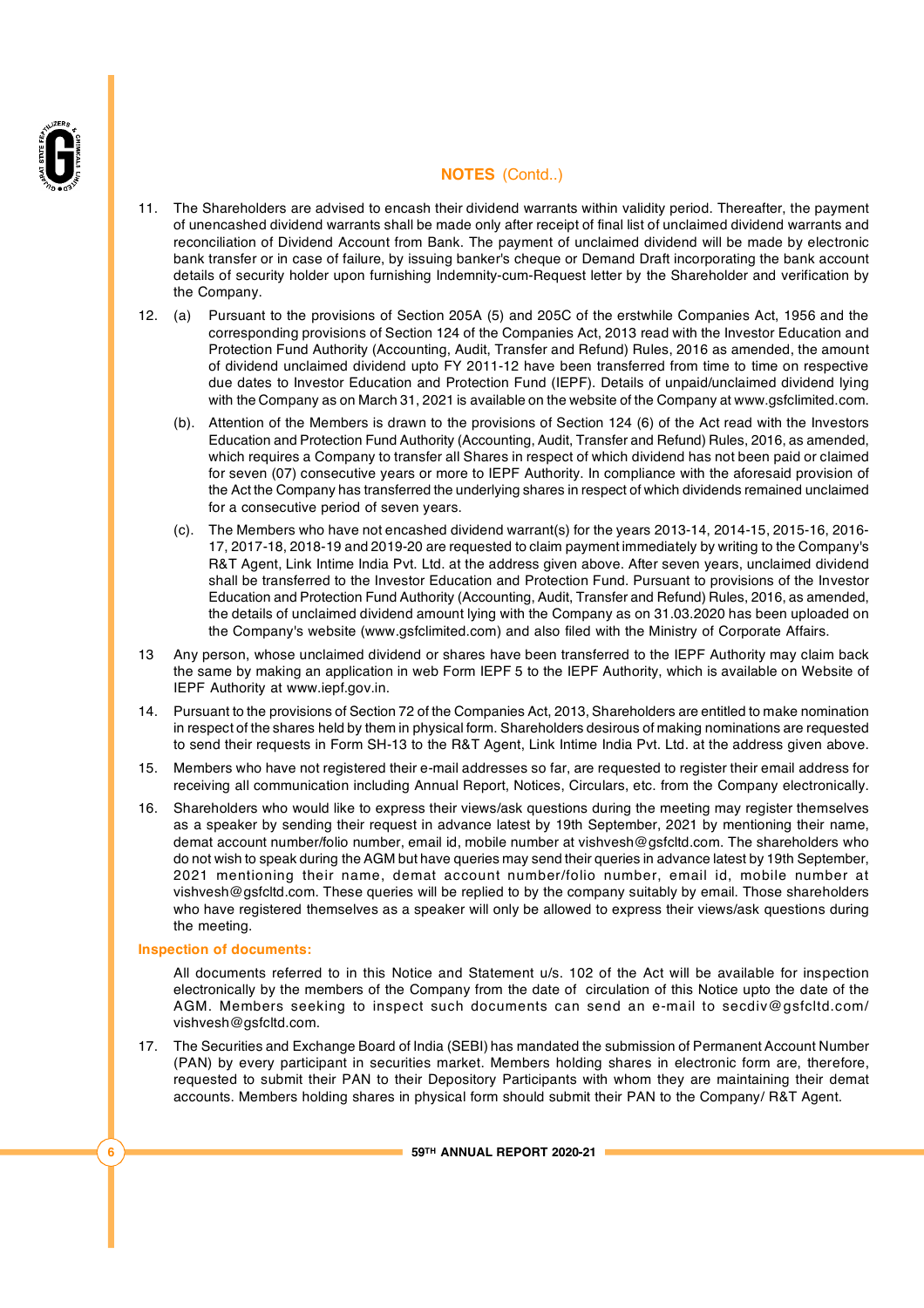

- 11. The Shareholders are advised to encash their dividend warrants within validity period. Thereafter, the payment of unencashed dividend warrants shall be made only after receipt of final list of unclaimed dividend warrants and reconciliation of Dividend Account from Bank. The payment of unclaimed dividend will be made by electronic bank transfer or in case of failure, by issuing banker's cheque or Demand Draft incorporating the bank account details of security holder upon furnishing Indemnity-cum-Request letter by the Shareholder and verification by the Company.
- 12. (a) Pursuant to the provisions of Section 205A (5) and 205C of the erstwhile Companies Act, 1956 and the corresponding provisions of Section 124 of the Companies Act, 2013 read with the Investor Education and Protection Fund Authority (Accounting, Audit, Transfer and Refund) Rules, 2016 as amended, the amount of dividend unclaimed dividend upto FY 2011-12 have been transferred from time to time on respective due dates to Investor Education and Protection Fund (IEPF). Details of unpaid/unclaimed dividend lying with the Company as on March 31, 2021 is available on the website of the Company at [www.gsfclimited.com.](http://www.gsfclimited.com.)
	- (b). Attention of the Members is drawn to the provisions of Section 124 (6) of the Act read with the Investors Education and Protection Fund Authority (Accounting, Audit, Transfer and Refund) Rules, 2016, as amended, which requires a Company to transfer all Shares in respect of which dividend has not been paid or claimed for seven (07) consecutive years or more to IEPF Authority. In compliance with the aforesaid provision of the Act the Company has transferred the underlying shares in respect of which dividends remained unclaimed for a consecutive period of seven years.
	- (c). The Members who have not encashed dividend warrant(s) for the years 2013-14, 2014-15, 2015-16, 2016- 17, 2017-18, 2018-19 and 2019-20 are requested to claim payment immediately by writing to the Company's R&T Agent, Link Intime India Pvt. Ltd. at the address given above. After seven years, unclaimed dividend shall be transferred to the Investor Education and Protection Fund. Pursuant to provisions of the Investor Education and Protection Fund Authority (Accounting, Audit, Transfer and Refund) Rules, 2016, as amended, the details of unclaimed dividend amount lying with the Company as on 31.03.2020 has been uploaded on the Company's website [\(www.gsfclimited.com\)](http://www.gsfclimited.com)) and also filed with the Ministry of Corporate Affairs.
- 13 Any person, whose unclaimed dividend or shares have been transferred to the IEPF Authority may claim back the same by making an application in web Form IEPF 5 to the IEPF Authority, which is available on Website of IEPF Authority at [www.iepf.gov.in.](http://www.iepf.gov.in.)
- 14. Pursuant to the provisions of Section 72 of the Companies Act, 2013, Shareholders are entitled to make nomination in respect of the shares held by them in physical form. Shareholders desirous of making nominations are requested to send their requests in Form SH-13 to the R&T Agent, Link Intime India Pvt. Ltd. at the address given above.
- 15. Members who have not registered their e-mail addresses so far, are requested to register their email address for receiving all communication including Annual Report, Notices, Circulars, etc. from the Company electronically.
- 16. Shareholders who would like to express their views/ask questions during the meeting may register themselves as a speaker by sending their request in advance latest by 19th September, 2021 by mentioning their name, demat account number/folio number, email id, mobile number at [vishvesh@gsfcltd.com.](mailto:vishvesh@gsfcltd.com.) The shareholders who do not wish to speak during the AGM but have queries may send their queries in advance latest by 19th September, 2021 mentioning their name, demat account number/folio number, email id, mobile number at [vishvesh@gsfcltd.com.](mailto:vishvesh@gsfcltd.com.) These queries will be replied to by the company suitably by email. Those shareholders who have registered themselves as a speaker will only be allowed to express their views/ask questions during the meeting.

#### **Inspection of documents:**

All documents referred to in this Notice and Statement u/s. 102 of the Act will be available for inspection electronically by the members of the Company from the date of circulation of this Notice upto the date of the AGM. Members seeking to inspect such documents can send an e-mail to s[ecdiv@gsfcltd.c](mailto:ecdiv@gsfcltd.c)om/ [vishvesh@gsfcltd.com.](mailto:vishvesh@gsfcltd.com.)

17. The Securities and Exchange Board of India (SEBI) has mandated the submission of Permanent Account Number (PAN) by every participant in securities market. Members holding shares in electronic form are, therefore, requested to submit their PAN to their Depository Participants with whom they are maintaining their demat accounts. Members holding shares in physical form should submit their PAN to the Company/ R&T Agent.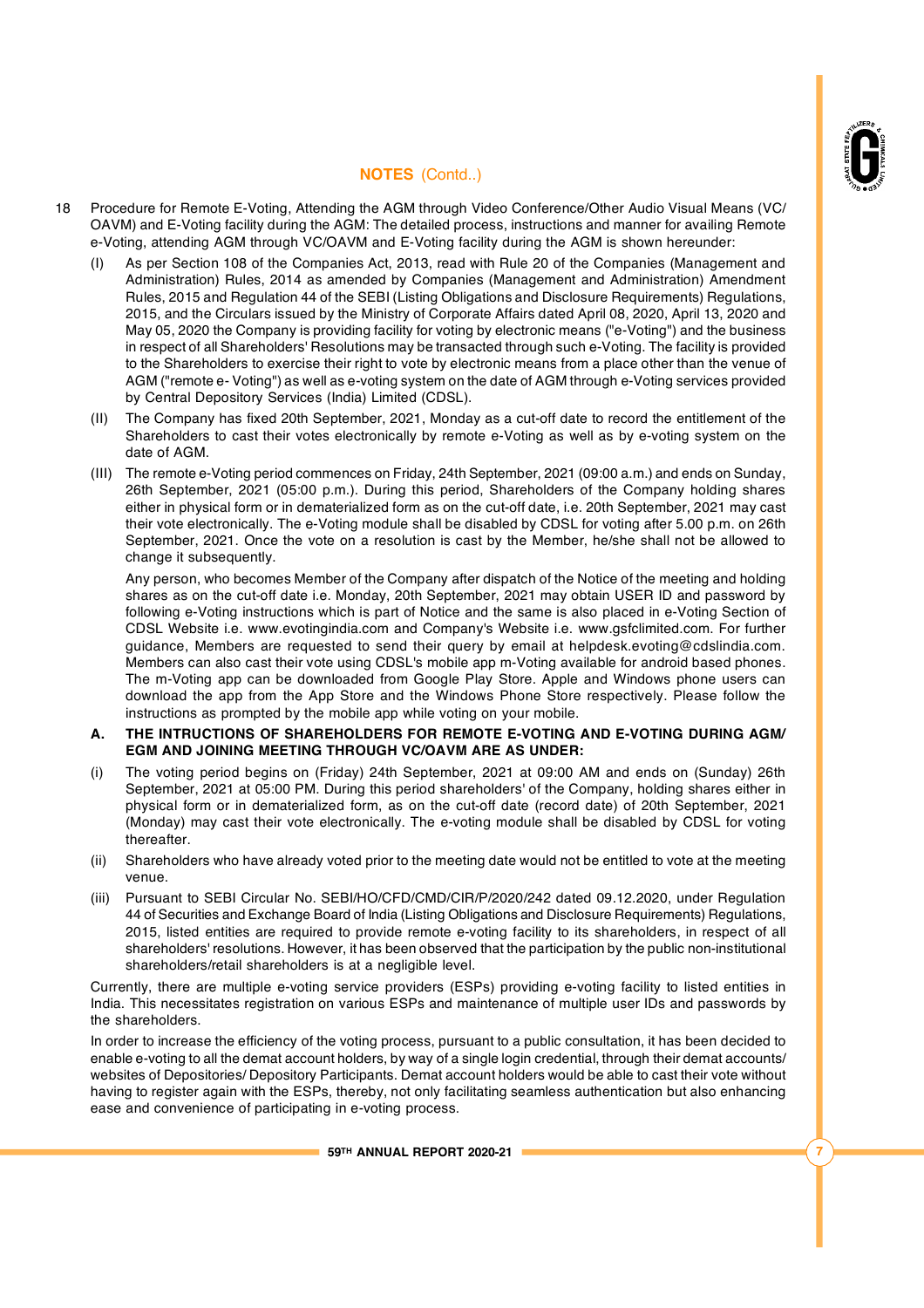

- 18 Procedure for Remote E-Voting, Attending the AGM through Video Conference/Other Audio Visual Means (VC/ OAVM) and E-Voting facility during the AGM: The detailed process, instructions and manner for availing Remote e-Voting, attending AGM through VC/OAVM and E-Voting facility during the AGM is shown hereunder:
	- (I) As per Section 108 of the Companies Act, 2013, read with Rule 20 of the Companies (Management and Administration) Rules, 2014 as amended by Companies (Management and Administration) Amendment Rules, 2015 and Regulation 44 of the SEBI (Listing Obligations and Disclosure Requirements) Regulations, 2015, and the Circulars issued by the Ministry of Corporate Affairs dated April 08, 2020, April 13, 2020 and May 05, 2020 the Company is providing facility for voting by electronic means ("e-Voting") and the business in respect of all Shareholders' Resolutions may be transacted through such e-Voting. The facility is provided to the Shareholders to exercise their right to vote by electronic means from a place other than the venue of AGM ("remote e- Voting") as well as e-voting system on the date of AGM through e-Voting services provided by Central Depository Services (India) Limited (CDSL).
	- (II) The Company has fixed 20th September, 2021, Monday as a cut-off date to record the entitlement of the Shareholders to cast their votes electronically by remote e-Voting as well as by e-voting system on the date of AGM.
	- (III) The remote e-Voting period commences on Friday, 24th September, 2021 (09:00 a.m.) and ends on Sunday, 26th September, 2021 (05:00 p.m.). During this period, Shareholders of the Company holding shares either in physical form or in dematerialized form as on the cut-off date, i.e. 20th September, 2021 may cast their vote electronically. The e-Voting module shall be disabled by CDSL for voting after 5.00 p.m. on 26th September, 2021. Once the vote on a resolution is cast by the Member, he/she shall not be allowed to change it subsequently.

Any person, who becomes Member of the Company after dispatch of the Notice of the meeting and holding shares as on the cut-off date i.e. Monday, 20th September, 2021 may obtain USER ID and password by following e-Voting instructions which is part of Notice and the same is also placed in e-Voting Section of CDSL Website i.e. www.evotingindia.com and Company's Website i.e. [www.gsfclimited.com.](http://www.gsfclimited.com.) For further guidance, Members are requested to send their query by email at [helpdesk.evoting@cdslindia.com.](mailto:helpdesk.evoting@cdslindia.com.) Members can also cast their vote using CDSL's mobile app m-Voting available for android based phones. The m-Voting app can be downloaded from Google Play Store. Apple and Windows phone users can download the app from the App Store and the Windows Phone Store respectively. Please follow the instructions as prompted by the mobile app while voting on your mobile.

- **A. THE INTRUCTIONS OF SHAREHOLDERS FOR REMOTE E-VOTING AND E-VOTING DURING AGM/ EGM AND JOINING MEETING THROUGH VC/OAVM ARE AS UNDER:**
- (i) The voting period begins on (Friday) 24th September, 2021 at 09:00 AM and ends on (Sunday) 26th September, 2021 at 05:00 PM. During this period shareholders' of the Company, holding shares either in physical form or in dematerialized form, as on the cut-off date (record date) of 20th September, 2021 (Monday) may cast their vote electronically. The e-voting module shall be disabled by CDSL for voting thereafter.
- (ii) Shareholders who have already voted prior to the meeting date would not be entitled to vote at the meeting venue.
- (iii) Pursuant to SEBI Circular No. SEBI/HO/CFD/CMD/CIR/P/2020/242 dated 09.12.2020, under Regulation 44 of Securities and Exchange Board of India (Listing Obligations and Disclosure Requirements) Regulations, 2015, listed entities are required to provide remote e-voting facility to its shareholders, in respect of all shareholders' resolutions. However, it has been observed that the participation by the public non-institutional shareholders/retail shareholders is at a negligible level.

Currently, there are multiple e-voting service providers (ESPs) providing e-voting facility to listed entities in India. This necessitates registration on various ESPs and maintenance of multiple user IDs and passwords by the shareholders.

In order to increase the efficiency of the voting process, pursuant to a public consultation, it has been decided to enable e-voting to all the demat account holders, by way of a single login credential, through their demat accounts/ websites of Depositories/ Depository Participants. Demat account holders would be able to cast their vote without having to register again with the ESPs, thereby, not only facilitating seamless authentication but also enhancing ease and convenience of participating in e-voting process.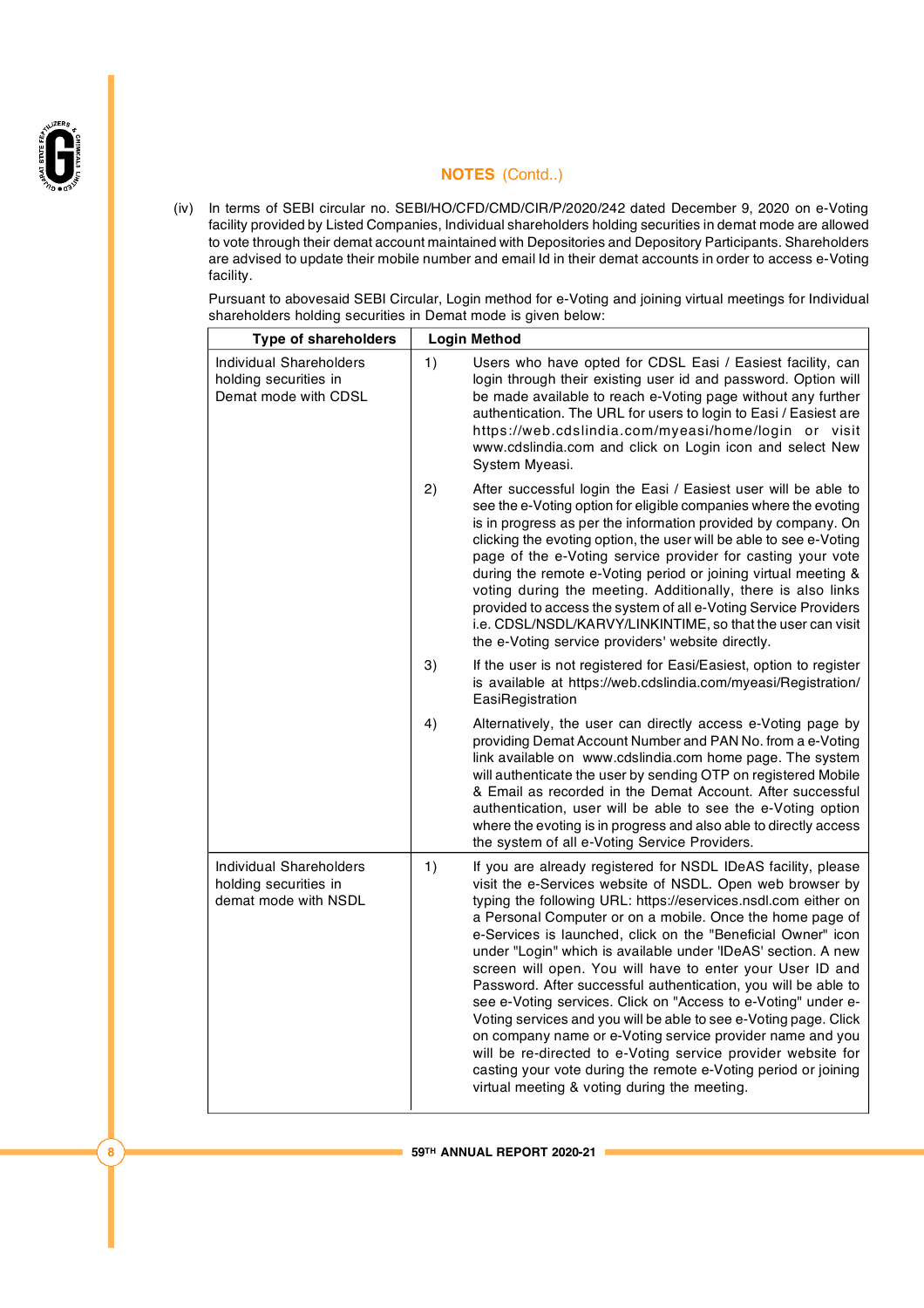

(iv) In terms of SEBI circular no. SEBI/HO/CFD/CMD/CIR/P/2020/242 dated December 9, 2020 on e-Voting facility provided by Listed Companies, Individual shareholders holding securities in demat mode are allowed to vote through their demat account maintained with Depositories and Depository Participants. Shareholders are advised to update their mobile number and email Id in their demat accounts in order to access e-Voting facility.

Pursuant to abovesaid SEBI Circular, Login method for e-Voting and joining virtual meetings for Individual shareholders holding securities in Demat mode is given below:

| <b>Type of shareholders</b>                                                     | <b>Login Method</b>                                                                                                                                                                                                                                                                                                                                                                                                                                                                                                                                                                                                                                                                                                                                                                                                                                                                                                 |  |  |
|---------------------------------------------------------------------------------|---------------------------------------------------------------------------------------------------------------------------------------------------------------------------------------------------------------------------------------------------------------------------------------------------------------------------------------------------------------------------------------------------------------------------------------------------------------------------------------------------------------------------------------------------------------------------------------------------------------------------------------------------------------------------------------------------------------------------------------------------------------------------------------------------------------------------------------------------------------------------------------------------------------------|--|--|
| <b>Individual Shareholders</b><br>holding securities in<br>Demat mode with CDSL | 1)<br>Users who have opted for CDSL Easi / Easiest facility, can<br>login through their existing user id and password. Option will<br>be made available to reach e-Voting page without any further<br>authentication. The URL for users to login to Easi / Easiest are<br>https://web.cdslindia.com/myeasi/home/login or visit<br>www.cdslindia.com and click on Login icon and select New<br>System Myeasi.                                                                                                                                                                                                                                                                                                                                                                                                                                                                                                        |  |  |
|                                                                                 | 2)<br>After successful login the Easi / Easiest user will be able to<br>see the e-Voting option for eligible companies where the evoting<br>is in progress as per the information provided by company. On<br>clicking the evoting option, the user will be able to see e-Voting<br>page of the e-Voting service provider for casting your vote<br>during the remote e-Voting period or joining virtual meeting &<br>voting during the meeting. Additionally, there is also links<br>provided to access the system of all e-Voting Service Providers<br>i.e. CDSL/NSDL/KARVY/LINKINTIME, so that the user can visit<br>the e-Voting service providers' website directly.                                                                                                                                                                                                                                             |  |  |
|                                                                                 | 3)<br>If the user is not registered for Easi/Easiest, option to register<br>is available at https://web.cdslindia.com/myeasi/Registration/<br>EasiRegistration                                                                                                                                                                                                                                                                                                                                                                                                                                                                                                                                                                                                                                                                                                                                                      |  |  |
|                                                                                 | 4)<br>Alternatively, the user can directly access e-Voting page by<br>providing Demat Account Number and PAN No. from a e-Voting<br>link available on www.cdslindia.com home page. The system<br>will authenticate the user by sending OTP on registered Mobile<br>& Email as recorded in the Demat Account. After successful<br>authentication, user will be able to see the e-Voting option<br>where the evoting is in progress and also able to directly access<br>the system of all e-Voting Service Providers.                                                                                                                                                                                                                                                                                                                                                                                                 |  |  |
| <b>Individual Shareholders</b><br>holding securities in<br>demat mode with NSDL | 1)<br>If you are already registered for NSDL IDeAS facility, please<br>visit the e-Services website of NSDL. Open web browser by<br>typing the following URL: https://eservices.nsdl.com either on<br>a Personal Computer or on a mobile. Once the home page of<br>e-Services is launched, click on the "Beneficial Owner" icon<br>under "Login" which is available under 'IDeAS' section. A new<br>screen will open. You will have to enter your User ID and<br>Password. After successful authentication, you will be able to<br>see e-Voting services. Click on "Access to e-Voting" under e-<br>Voting services and you will be able to see e-Voting page. Click<br>on company name or e-Voting service provider name and you<br>will be re-directed to e-Voting service provider website for<br>casting your vote during the remote e-Voting period or joining<br>virtual meeting & voting during the meeting. |  |  |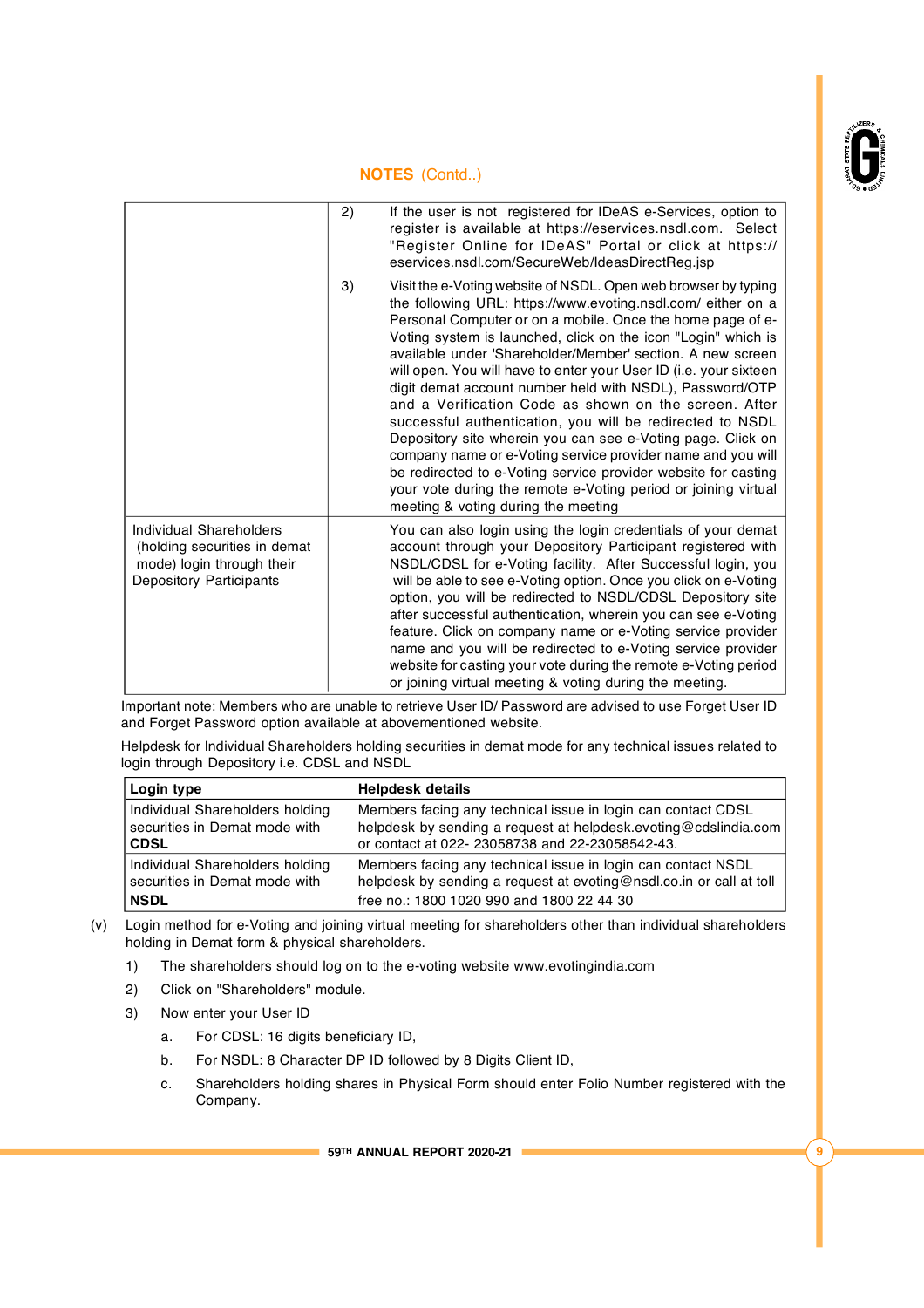

|                                                                                                                        | 2) | If the user is not registered for IDeAS e-Services, option to<br>register is available at https://eservices.nsdl.com. Select<br>"Register Online for IDeAS" Portal or click at https://<br>eservices.nsdl.com/SecureWeb/IdeasDirectReg.jsp                                                                                                                                                                                                                                                                                                                                                                                                                                                                                                                                                                                                                                                  |
|------------------------------------------------------------------------------------------------------------------------|----|---------------------------------------------------------------------------------------------------------------------------------------------------------------------------------------------------------------------------------------------------------------------------------------------------------------------------------------------------------------------------------------------------------------------------------------------------------------------------------------------------------------------------------------------------------------------------------------------------------------------------------------------------------------------------------------------------------------------------------------------------------------------------------------------------------------------------------------------------------------------------------------------|
|                                                                                                                        | 3) | Visit the e-Voting website of NSDL. Open web browser by typing<br>the following URL: https://www.evoting.nsdl.com/ either on a<br>Personal Computer or on a mobile. Once the home page of e-<br>Voting system is launched, click on the icon "Login" which is<br>available under 'Shareholder/Member' section. A new screen<br>will open. You will have to enter your User ID (i.e. your sixteen<br>digit demat account number held with NSDL), Password/OTP<br>and a Verification Code as shown on the screen. After<br>successful authentication, you will be redirected to NSDL<br>Depository site wherein you can see e-Voting page. Click on<br>company name or e-Voting service provider name and you will<br>be redirected to e-Voting service provider website for casting<br>your vote during the remote e-Voting period or joining virtual<br>meeting & voting during the meeting |
| Individual Shareholders<br>(holding securities in demat<br>mode) login through their<br><b>Depository Participants</b> |    | You can also login using the login credentials of your demat<br>account through your Depository Participant registered with<br>NSDL/CDSL for e-Voting facility. After Successful login, you<br>will be able to see e-Voting option. Once you click on e-Voting<br>option, you will be redirected to NSDL/CDSL Depository site<br>after successful authentication, wherein you can see e-Voting<br>feature. Click on company name or e-Voting service provider<br>name and you will be redirected to e-Voting service provider<br>website for casting your vote during the remote e-Voting period<br>or joining virtual meeting & voting during the meeting.                                                                                                                                                                                                                                 |

Important note: Members who are unable to retrieve User ID/ Password are advised to use Forget User ID and Forget Password option available at abovementioned website.

Helpdesk for Individual Shareholders holding securities in demat mode for any technical issues related to login through Depository i.e. CDSL and NSDL

| Login type                      | <b>Helpdesk details</b>                                             |
|---------------------------------|---------------------------------------------------------------------|
| Individual Shareholders holding | Members facing any technical issue in login can contact CDSL        |
| securities in Demat mode with   | helpdesk by sending a request at helpdesk.evoting@cdslindia.com     |
| <b>CDSL</b>                     | or contact at 022-23058738 and 22-23058542-43.                      |
| Individual Shareholders holding | Members facing any technical issue in login can contact NSDL        |
| securities in Demat mode with   | helpdesk by sending a request at evoting@nsdl.co.in or call at toll |
| <b>NSDL</b>                     | free no.: 1800 1020 990 and 1800 22 44 30                           |

- (v) Login method for e-Voting and joining virtual meeting for shareholders other than individual shareholders holding in Demat form & physical shareholders.
	- 1) The shareholders should log on to the e-voting website [www.evotingindia.com](http://www.evotingindia.com)
	- 2) Click on "Shareholders" module.
	- 3) Now enter your User ID
		- a. For CDSL: 16 digits beneficiary ID,
		- b. For NSDL: 8 Character DP ID followed by 8 Digits Client ID,
		- c. Shareholders holding shares in Physical Form should enter Folio Number registered with the Company.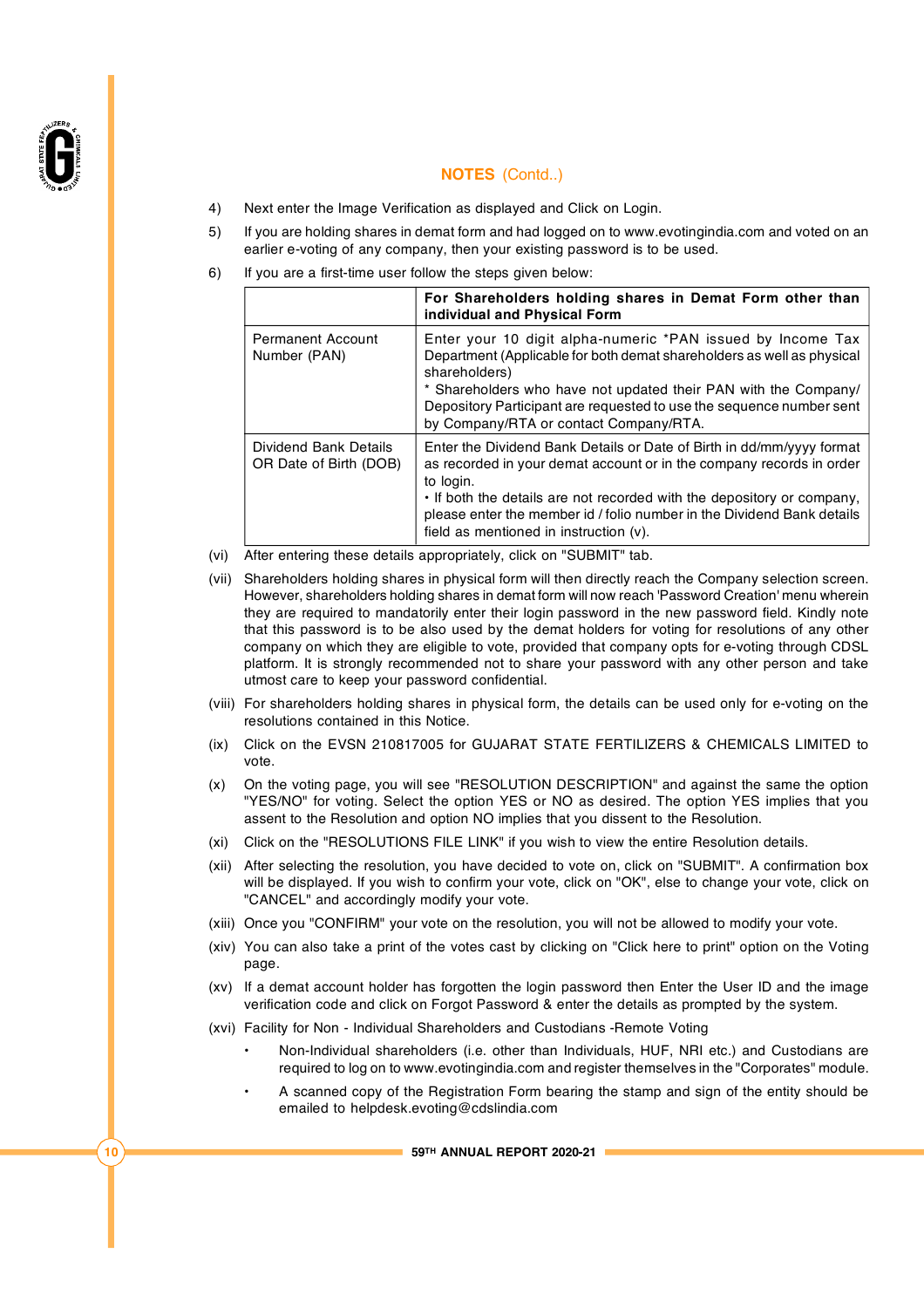

- 4) Next enter the Image Verification as displayed and Click on Login.
- 5) If you are holding shares in demat form and had logged on to [www.evotingindia.com](http://www.evotingindia.com) and voted on an earlier e-voting of any company, then your existing password is to be used.
- 6) If you are a first-time user follow the steps given below:

|                                                 | For Shareholders holding shares in Demat Form other than<br>individual and Physical Form                                                                                                                                                                                                                                                                    |
|-------------------------------------------------|-------------------------------------------------------------------------------------------------------------------------------------------------------------------------------------------------------------------------------------------------------------------------------------------------------------------------------------------------------------|
| <b>Permanent Account</b><br>Number (PAN)        | Enter your 10 digit alpha-numeric *PAN issued by Income Tax<br>Department (Applicable for both demat shareholders as well as physical<br>shareholders)<br>* Shareholders who have not updated their PAN with the Company/<br>Depository Participant are requested to use the sequence number sent<br>by Company/RTA or contact Company/RTA.                 |
| Dividend Bank Details<br>OR Date of Birth (DOB) | Enter the Dividend Bank Details or Date of Birth in dd/mm/yyyy format<br>as recorded in your demat account or in the company records in order<br>to login.<br>• If both the details are not recorded with the depository or company,<br>please enter the member id / folio number in the Dividend Bank details<br>field as mentioned in instruction $(v)$ . |

(vi) After entering these details appropriately, click on "SUBMIT" tab.

- (vii) Shareholders holding shares in physical form will then directly reach the Company selection screen. However, shareholders holding shares in demat form will now reach 'Password Creation' menu wherein they are required to mandatorily enter their login password in the new password field. Kindly note that this password is to be also used by the demat holders for voting for resolutions of any other company on which they are eligible to vote, provided that company opts for e-voting through CDSL platform. It is strongly recommended not to share your password with any other person and take utmost care to keep your password confidential.
- (viii) For shareholders holding shares in physical form, the details can be used only for e-voting on the resolutions contained in this Notice.
- (ix) Click on the EVSN 210817005 for GUJARAT STATE FERTILIZERS & CHEMICALS LIMITED to vote.
- (x) On the voting page, you will see "RESOLUTION DESCRIPTION" and against the same the option "YES/NO" for voting. Select the option YES or NO as desired. The option YES implies that you assent to the Resolution and option NO implies that you dissent to the Resolution.
- (xi) Click on the "RESOLUTIONS FILE LINK" if you wish to view the entire Resolution details.
- (xii) After selecting the resolution, you have decided to vote on, click on "SUBMIT". A confirmation box will be displayed. If you wish to confirm your vote, click on "OK", else to change your vote, click on "CANCEL" and accordingly modify your vote.
- (xiii) Once you "CONFIRM" your vote on the resolution, you will not be allowed to modify your vote.
- (xiv) You can also take a print of the votes cast by clicking on "Click here to print" option on the Voting page.
- (xv) If a demat account holder has forgotten the login password then Enter the User ID and the image verification code and click on Forgot Password & enter the details as prompted by the system.
- (xvi) Facility for Non Individual Shareholders and Custodians -Remote Voting
	- Non-Individual shareholders (i.e. other than Individuals, HUF, NRI etc.) and Custodians are required to log on to [www.evotingindia.com](http://www.evotingindia.com) and register themselves in the "Corporates" module.
	- A scanned copy of the Registration Form bearing the stamp and sign of the entity should be emailed to [helpdesk.evoting@cdslindia.com](mailto:helpdesk.evoting@cdslindia.com)

**10 59TH ANNUAL REPORT 2020-21**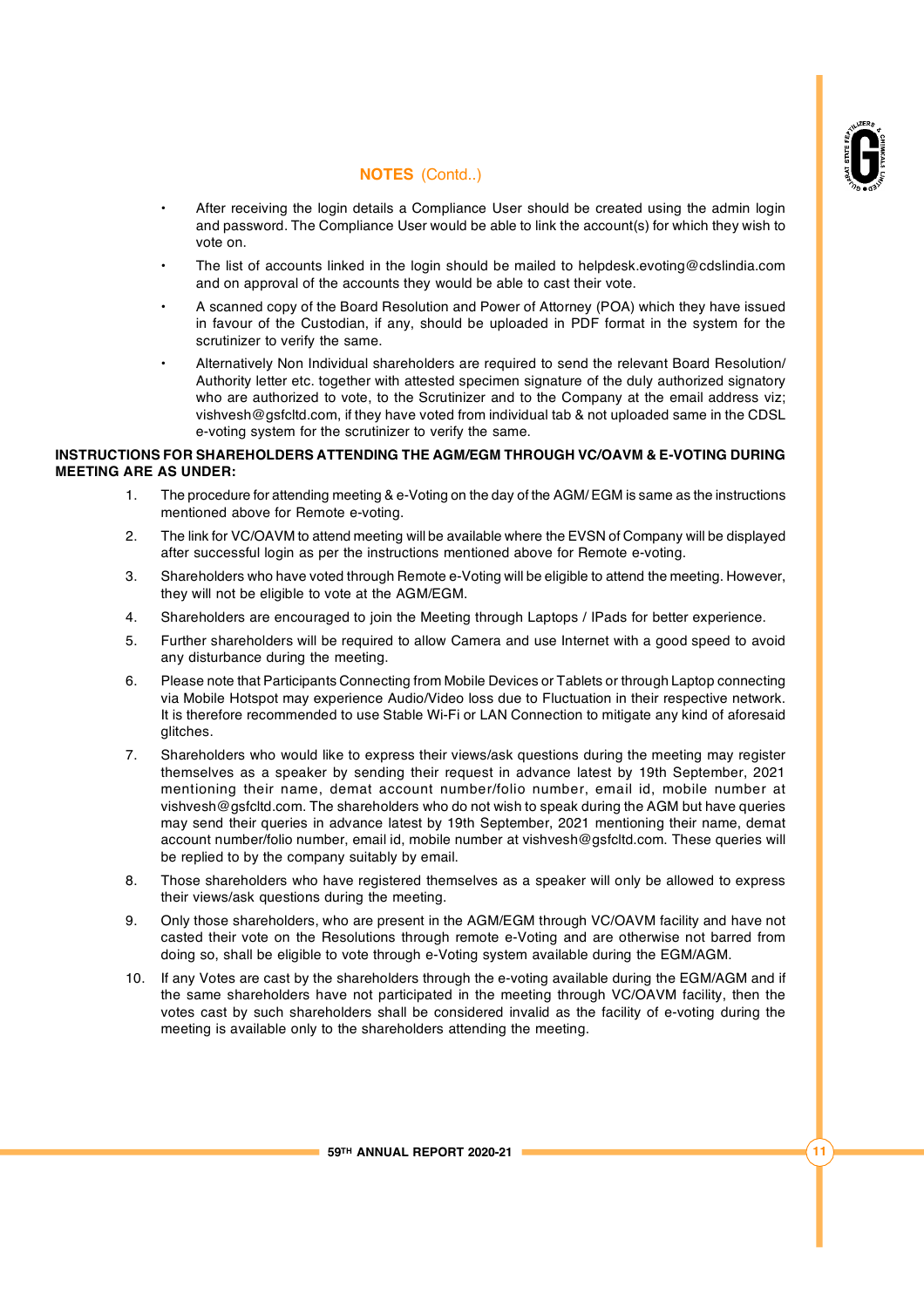

- After receiving the login details a Compliance User should be created using the admin login and password. The Compliance User would be able to link the account(s) for which they wish to vote on.
- The list of accounts linked in the login should be mailed to [helpdesk.evoting@cdslindia.com](mailto:helpdesk.evoting@cdslindia.com) and on approval of the accounts they would be able to cast their vote.
- A scanned copy of the Board Resolution and Power of Attorney (POA) which they have issued in favour of the Custodian, if any, should be uploaded in PDF format in the system for the scrutinizer to verify the same.
- Alternatively Non Individual shareholders are required to send the relevant Board Resolution/ Authority letter etc. together with attested specimen signature of the duly authorized signatory who are authorized to vote, to the Scrutinizer and to the Company at the email address viz; [vishvesh@gsfcltd.com,](mailto:vishvesh@gsfcltd.com,) if they have voted from individual tab & not uploaded same in the CDSL e-voting system for the scrutinizer to verify the same.

### **INSTRUCTIONS FOR SHAREHOLDERS ATTENDING THE AGM/EGM THROUGH VC/OAVM & E-VOTING DURING MEETING ARE AS UNDER:**

- 1. The procedure for attending meeting & e-Voting on the day of the AGM/ EGM is same as the instructions mentioned above for Remote e-voting.
- 2. The link for VC/OAVM to attend meeting will be available where the EVSN of Company will be displayed after successful login as per the instructions mentioned above for Remote e-voting.
- 3. Shareholders who have voted through Remote e-Voting will be eligible to attend the meeting. However, they will not be eligible to vote at the AGM/EGM.
- 4. Shareholders are encouraged to join the Meeting through Laptops / IPads for better experience.
- 5. Further shareholders will be required to allow Camera and use Internet with a good speed to avoid any disturbance during the meeting.
- 6. Please note that Participants Connecting from Mobile Devices or Tablets or through Laptop connecting via Mobile Hotspot may experience Audio/Video loss due to Fluctuation in their respective network. It is therefore recommended to use Stable Wi-Fi or LAN Connection to mitigate any kind of aforesaid glitches.
- 7. Shareholders who would like to express their views/ask questions during the meeting may register themselves as a speaker by sending their request in advance latest by 19th September, 2021 mentioning their name, demat account number/folio number, email id, mobile number at [vishvesh@gsfcltd.com.](mailto:vishvesh@gsfcltd.com.) The shareholders who do not wish to speak during the AGM but have queries may send their queries in advance latest by 19th September, 2021 mentioning their name, demat account number/folio number, email id, mobile number at [vishvesh@gsfcltd.com.](mailto:vishvesh@gsfcltd.com.) These queries will be replied to by the company suitably by email.
- 8. Those shareholders who have registered themselves as a speaker will only be allowed to express their views/ask questions during the meeting.
- 9. Only those shareholders, who are present in the AGM/EGM through VC/OAVM facility and have not casted their vote on the Resolutions through remote e-Voting and are otherwise not barred from doing so, shall be eligible to vote through e-Voting system available during the EGM/AGM.
- 10. If any Votes are cast by the shareholders through the e-voting available during the EGM/AGM and if the same shareholders have not participated in the meeting through VC/OAVM facility, then the votes cast by such shareholders shall be considered invalid as the facility of e-voting during the meeting is available only to the shareholders attending the meeting.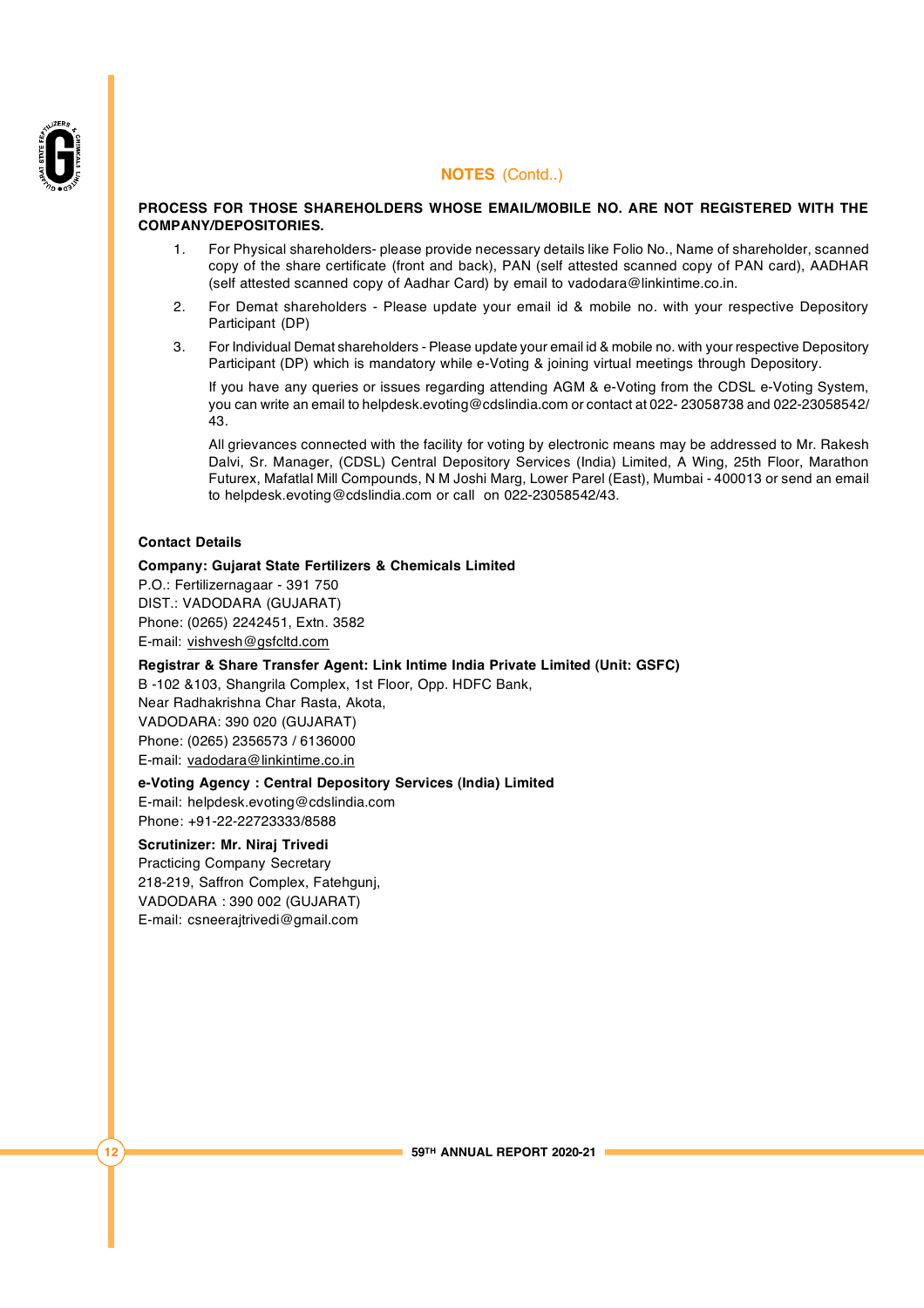

### **PROCESS FOR THOSE SHAREHOLDERS WHOSE EMAIL/MOBILE NO. ARE NOT REGISTERED WITH THE COMPANY/DEPOSITORIES.**

- 1. For Physical shareholders- please provide necessary details like Folio No., Name of shareholder, scanned copy of the share certificate (front and back), PAN (self attested scanned copy of PAN card), AADHAR (self attested scanned copy of Aadhar Card) by email to [vadodara@linkintime.co.in.](mailto:vadodara@linkintime.co.in.)
- 2. For Demat shareholders Please update your email id & mobile no. with your respective Depository Participant (DP)
- 3. For Individual Demat shareholders Please update your email id & mobile no. with your respective Depository Participant (DP) which is mandatory while e-Voting & joining virtual meetings through Depository.

If you have any queries or issues regarding attending AGM & e-Voting from the CDSL e-Voting System, you can write an email to [helpdesk.evoting@cdslindia.com](mailto:helpdesk.evoting@cdslindia.com) or contact at 022- 23058738 and 022-23058542/ 43.

All grievances connected with the facility for voting by electronic means may be addressed to Mr. Rakesh Dalvi, Sr. Manager, (CDSL) Central Depository Services (India) Limited, A Wing, 25th Floor, Marathon Futurex, Mafatlal Mill Compounds, N M Joshi Marg, Lower Parel (East), Mumbai - 400013 or send an email to [helpdesk.evoting@cdslindia.com](mailto:helpdesk.evoting@cdslindia.com) or call on 022-23058542/43.

### **Contact Details**

#### **Company: Gujarat State Fertilizers & Chemicals Limited**

P.O.: Fertilizernagaar - 391 750 DIST.: VADODARA (GUJARAT) Phone: (0265) 2242451, Extn. 3582 E-mail: [vishvesh@gsfcltd.com](mailto:vishvesh@gsfcltd.com)

**Registrar & Share Transfer Agent: Link Intime India Private Limited (Unit: GSFC)**

B -102 &103, Shangrila Complex, 1st Floor, Opp. HDFC Bank, Near Radhakrishna Char Rasta, Akota, VADODARA: 390 020 (GUJARAT)

Phone: (0265) 2356573 / 6136000

E-mail: [vadodara@linkintime.co.in](mailto:vadodara@linkintime.co.in)

#### **e-Voting Agency : Central Depository Services (India) Limited**

E-mail: [helpdesk.evoting@cdslindia.com](mailto:helpdesk.evoting@cdslindia.com) Phone: +91-22-22723333/8588

#### **Scrutinizer: Mr. Niraj Trivedi**

Practicing Company Secretary 218-219, Saffron Complex, Fatehgunj, VADODARA : 390 002 (GUJARAT) E-mail: [csneerajtrivedi@gmail.com](mailto:csneerajtrivedi@gmail.com)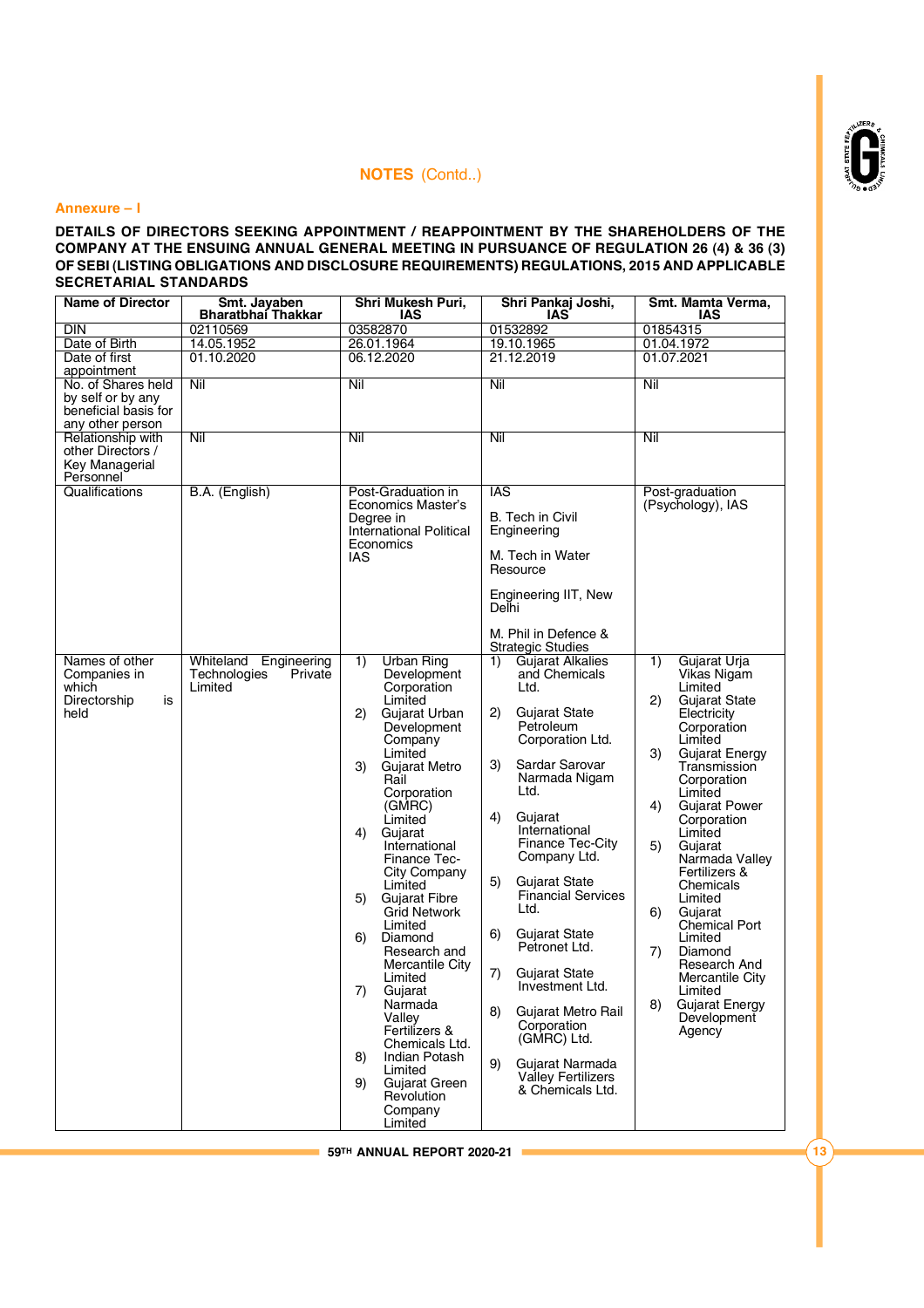

#### **Annexure – I**

### **DETAILS OF DIRECTORS SEEKING APPOINTMENT / REAPPOINTMENT BY THE SHAREHOLDERS OF THE COMPANY AT THE ENSUING ANNUAL GENERAL MEETING IN PURSUANCE OF REGULATION 26 (4) & 36 (3) OF SEBI (LISTING OBLIGATIONS AND DISCLOSURE REQUIREMENTS) REGULATIONS, 2015 AND APPLICABLE SECRETARIAL STANDARDS**

| <b>Name of Director</b>                                                             | Smt. Javaben<br><b>Bharatbhai Thakkar</b>                      | Shri Mukesh Puri,<br>IAS                                                | Shri Pankaj Joshi,<br>IAS                                              | Smt. Mamta Verma,<br>IAS                                              |
|-------------------------------------------------------------------------------------|----------------------------------------------------------------|-------------------------------------------------------------------------|------------------------------------------------------------------------|-----------------------------------------------------------------------|
| <b>DIN</b>                                                                          | 02110569                                                       | 03582870                                                                | 01532892                                                               | 01854315                                                              |
| Date of Birth                                                                       | 14.05.1952                                                     | 26.01.1964                                                              | 19.10.1965                                                             | 01.04.1972                                                            |
| Date of first<br>appointment                                                        | 01.10.2020                                                     | 06.12.2020                                                              | 21.12.2019                                                             | 01.07.2021                                                            |
| No. of Shares held<br>by self or by any<br>beneficial basis for<br>any other person | Nil                                                            | Nil                                                                     | Nil                                                                    | Nil                                                                   |
| Relationship with<br>other Directors /<br>Key Managerial<br>Personnel               | Nil                                                            | Nil                                                                     | Nil                                                                    | Nil                                                                   |
| Qualifications                                                                      | B.A. (English)                                                 | Post-Graduation in                                                      | <b>IAS</b>                                                             | Post-graduation                                                       |
|                                                                                     |                                                                | Economics Master's<br>Degree in<br>International Political<br>Economics | <b>B.</b> Tech in Civil<br>Engineering                                 | (Psychology), IAS                                                     |
|                                                                                     |                                                                | IAS                                                                     | M. Tech in Water<br>Resource                                           |                                                                       |
|                                                                                     |                                                                |                                                                         | Engineering IIT, New<br>Delhi                                          |                                                                       |
|                                                                                     |                                                                |                                                                         | M. Phil in Defence &<br><b>Strategic Studies</b>                       |                                                                       |
| Names of other<br>Companies in<br>which                                             | Whiteland<br>Engineering<br>Technologies<br>Private<br>Limited | <b>Urban Ring</b><br>1)<br>Development                                  | Gujarat Alkalies<br>1)<br>and Chemicals<br>Ltd.                        | Gujarat Urja<br>1)<br>Vikas Nigam<br>Limited                          |
| Directorship<br>is<br>held                                                          |                                                                | Corporation<br>Limited<br>2)<br>Gujarat Urban<br>Development<br>Company | 2)<br><b>Gujarat State</b><br>Petroleum<br>Corporation Ltd.            | <b>Gujarat State</b><br>(2)<br>Electricity<br>Corporation<br>Limited  |
|                                                                                     |                                                                | Limited<br>3)<br>Gujarat Metro<br>Rail<br>Corporation                   | 3)<br>Sardar Sarovar<br>Narmada Nigam<br>Ltd.                          | <b>Gujarat Energy</b><br>3)<br>Transmission<br>Corporation<br>Limited |
|                                                                                     |                                                                | (GMRC)<br>Limited<br>4)<br>Gujarat                                      | 4)<br>Gujarat<br>International                                         | 4)<br><b>Gujarat Power</b><br>Corporation<br>Limited                  |
|                                                                                     |                                                                | International<br>Finance Tec-<br>City Company                           | Finance Tec-City<br>Company Ltd.                                       | 5)<br>Gujarat<br>Narmada Valley<br>Fertilizers &                      |
|                                                                                     |                                                                | Limited                                                                 | 5)<br><b>Gujarat State</b>                                             | Chemicals                                                             |
|                                                                                     |                                                                | <b>Gujarat Fibre</b><br>5)<br><b>Grid Network</b><br>Limited            | <b>Financial Services</b><br>Ltd.                                      | Limited<br>6)<br>Gujarat<br><b>Chemical Port</b>                      |
|                                                                                     |                                                                | 6)<br>Diamond<br>Research and                                           | <b>Gujarat State</b><br>6)<br>Petronet Ltd.                            | Limited<br>7)<br>Diamond                                              |
|                                                                                     |                                                                | Mercantile City<br>Limited<br>7)<br>Gujarat                             | 7)<br><b>Gujarat State</b><br>Investment Ltd.                          | Research And<br>Mercantile City<br>Limited                            |
|                                                                                     |                                                                | Narmada<br>Vallev<br>Fertilizers &<br>Chemicals Ltd.                    | 8)<br><b>Gujarat Metro Rail</b><br>Corporation<br>(GMRC) Ltd.          | 8)<br>Gujarat Energy<br>Development<br>Agency                         |
|                                                                                     |                                                                | <b>Indian Potash</b><br>8)<br>Limited<br>9)<br>Gujarat Green            | Gujarat Narmada<br>9)<br><b>Valley Fertilizers</b><br>& Chemicals Ltd. |                                                                       |
|                                                                                     |                                                                | Revolution<br>Company<br>Limited                                        |                                                                        |                                                                       |

**59TH ANNUAL REPORT 2020-21 13**